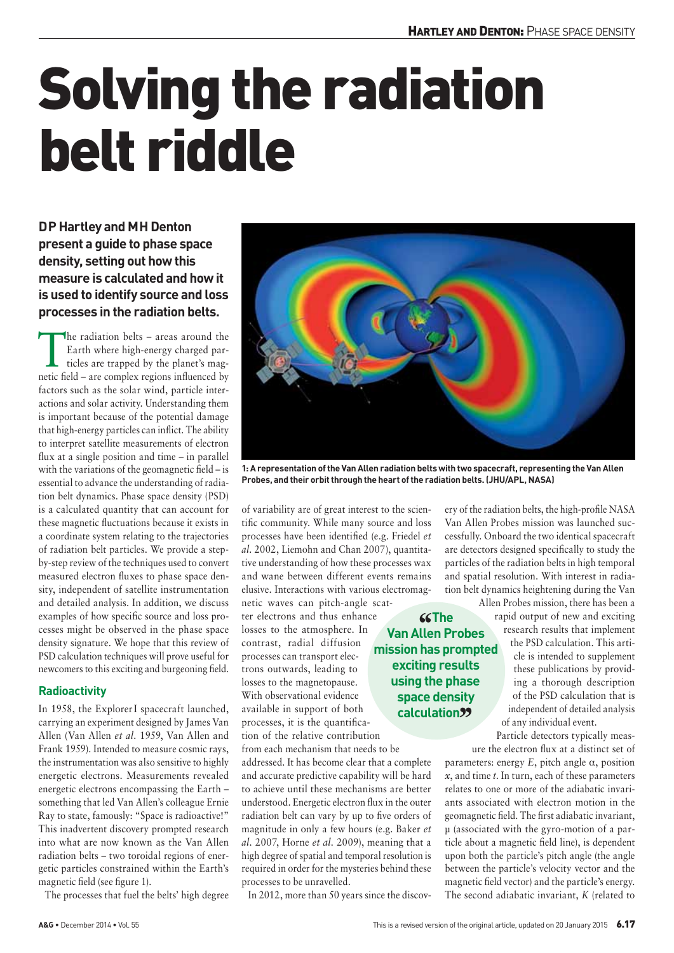# Solving the radiation belt riddle

**DP Hartley and MH Denton present a guide to phase space density, setting out how this measure is calculated and how it is used to identify source and loss processes in the radiation belts.** 

The radiation belts – areas around the Earth where high-energy charged particles are trapped by the planet's mag-Earth where high-energy charged parnetic field – are complex regions influenced by factors such as the solar wind, particle interactions and solar activity. Understanding them is important because of the potential damage that high-energy particles can inflict. The ability to interpret satellite measurements of electron flux at a single position and time – in parallel with the variations of the geomagnetic field – is essential to advance the understanding of radiation belt dynamics. Phase space density (PSD) is a calculated quantity that can account for these magnetic fluctuations because it exists in a coordinate system relating to the trajectories of radiation belt particles. We provide a stepby-step review of the techniques used to convert measured electron fluxes to phase space density, independent of satellite instrumentation and detailed analysis. In addition, we discuss examples of how specific source and loss processes might be observed in the phase space density signature. We hope that this review of PSD calculation techniques will prove useful for newcomers to this exciting and burgeoning field.

# **Radioactivity**

In 1958, the ExplorerI spacecraft launched, carrying an experiment designed by James Van Allen (Van Allen *et al.* 1959, Van Allen and Frank 1959). Intended to measure cosmic rays, the instrumentation was also sensitive to highly energetic electrons. Measurements revealed energetic electrons encompassing the Earth – something that led Van Allen's colleague Ernie Ray to state, famously: "Space is radioactive!" This inadvertent discovery prompted research into what are now known as the Van Allen radiation belts – two toroidal regions of energetic particles constrained within the Earth's magnetic field (see figure 1).

The processes that fuel the belts' high degree



**1: A representation of the Van Allen radiation belts with two spacecraft, representing the Van Allen Probes, and their orbit through the heart of the radiation belts. (JHU/APL, NASA)**

of variability are of great interest to the scientific community. While many source and loss processes have been identified (e.g. Friedel *et al.* 2002, Liemohn and Chan 2007), quantitative understanding of how these processes wax and wane between different events remains elusive. Interactions with various electromag-

netic waves can pitch-angle scatter electrons and thus enhance losses to the atmosphere. In contrast, radial diffusion processes can transport electrons outwards, leading to losses to the magnetopause. With observational evidence available in support of both processes, it is the quantification of the relative contribution

from each mechanism that needs to be addressed. It has become clear that a complete and accurate predictive capability will be hard to achieve until these mechanisms are better understood. Energetic electron flux in the outer radiation belt can vary by up to five orders of magnitude in only a few hours (e.g. Baker *et al.* 2007, Horne *et al.* 2009), meaning that a high degree of spatial and temporal resolution is required in order for the mysteries behind these processes to be unravelled.

In 2012, more than 50 years since the discov-

ery of the radiation belts, the high-profile NASA Van Allen Probes mission was launched successfully. Onboard the two identical spacecraft are detectors designed specifically to study the particles of the radiation belts in high temporal and spatial resolution. With interest in radiation belt dynamics heightening during the Van

**''The Van Allen Probes mission has prompted exciting results using the phase space density calculation''**

Allen Probes mission, there has been a rapid output of new and exciting research results that implement the PSD calculation. This article is intended to supplement these publications by providing a thorough description of the PSD calculation that is independent of detailed analysis of any individual event.

Particle detectors typically measure the electron flux at a distinct set of

parameters: energy *E*, pitch angle α, position *x*, and time *t*. In turn, each of these parameters relates to one or more of the adiabatic invariants associated with electron motion in the geomagnetic field. The first adiabatic invariant, μ (associated with the gyro-motion of a particle about a magnetic field line), is dependent upon both the particle's pitch angle (the angle between the particle's velocity vector and the magnetic field vector) and the particle's energy. The second adiabatic invariant, *K* (related to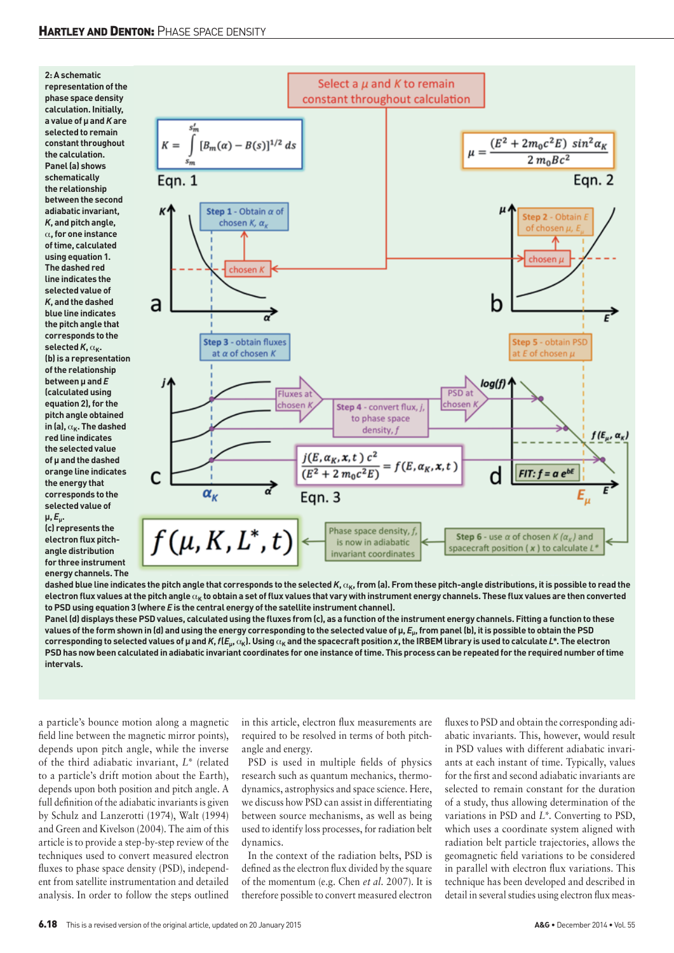

**(c) represents the electron flux pitchangle distribution for three instrument energy channels. The** 



dashed blue line indicates the pitch angle that corresponds to the selected *K*, α<sub>K</sub>, from (a). From these pitch-angle distributions, it is possible to read the electron flux values at the pitch angle α<sub>K</sub> to obtain a set of flux values that vary with instrument energy channels. These flux values are then converted **to PSD using equation 3 (where** *E* **is the central energy of the satellite instrument channel).**

**Panel (d) displays these PSD values, calculated using the fluxes from (c), as a function of the instrument energy channels. Fitting a function to these values of the form shown in (d) and using the energy corresponding to the selected value of μ,** *E***μ, from panel (b), it is possible to obtain the PSD**  corresponding to selected values of µ and K, f( $E_w$ ,  $\alpha_k$ ). Using  $\alpha_k$  and the spacecraft position x, the IRBEM library is used to calculate L\*. The electron **PSD has now been calculated in adiabatic invariant coordinates for one instance of time. This process can be repeated for the required number of time intervals.**

a particle's bounce motion along a magnetic field line between the magnetic mirror points), depends upon pitch angle, while the inverse of the third adiabatic invariant, *L\** (related to a particle's drift motion about the Earth), depends upon both position and pitch angle. A full definition of the adiabatic invariants is given by Schulz and Lanzerotti (1974), Walt (1994) and Green and Kivelson (2004). The aim of this article is to provide a step-by-step review of the techniques used to convert measured electron fluxes to phase space density (PSD), independent from satellite instrumentation and detailed analysis. In order to follow the steps outlined

in this article, electron flux measurements are required to be resolved in terms of both pitchangle and energy.

PSD is used in multiple fields of physics research such as quantum mechanics, thermodynamics, astrophysics and space science. Here, we discuss how PSD can assist in differentiating between source mechanisms, as well as being used to identify loss processes, for radiation belt dynamics.

In the context of the radiation belts, PSD is defined as the electron flux divided by the square of the momentum (e.g. Chen *et al.* 2007). It is therefore possible to convert measured electron

fluxes to PSD and obtain the corresponding adiabatic invariants. This, however, would result in PSD values with different adiabatic invariants at each instant of time. Typically, values for the first and second adiabatic invariants are selected to remain constant for the duration of a study, thus allowing determination of the variations in PSD and *L\**. Converting to PSD, which uses a coordinate system aligned with radiation belt particle trajectories, allows the geomagnetic field variations to be considered in parallel with electron flux variations. This technique has been developed and described in detail in several studies using electron flux meas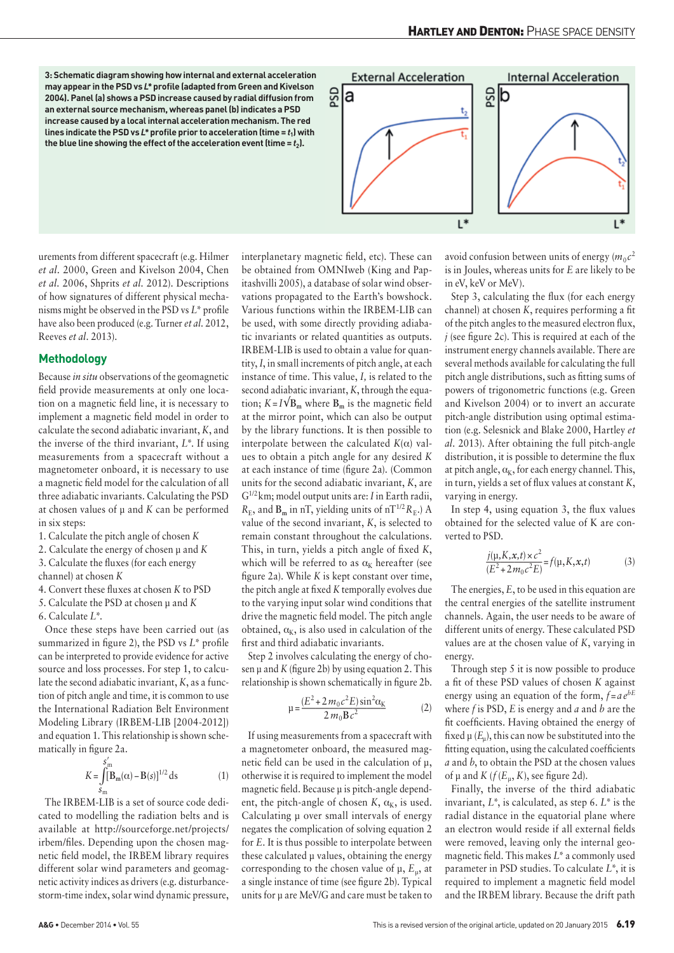**3: Schematic diagram showing how internal and external acceleration may appear in the PSD vs** *L\** **profile (adapted from Green and Kivelson 2004). Panel (a) shows a PSD increase caused by radial diffusion from an external source mechanism, whereas panel (b) indicates a PSD increase caused by a local internal acceleration mechanism. The red lines indicate the PSD vs** *L\** **profile prior to acceleration (time =** *t***1) with**  the blue line showing the effect of the acceleration event (time  $= t_2$ ).



urements from different spacecraft (e.g. Hilmer *et al.* 2000, Green and Kivelson 2004, Chen *et al.* 2006, Shprits *et al.* 2012). Descriptions of how signatures of different physical mechanisms might be observed in the PSD vs *L\** profile have also been produced (e.g. Turner *et al.* 2012, Reeves *et al.* 2013).

### **Methodology**

Because *in situ* observations of the geomagnetic field provide measurements at only one location on a magnetic field line, it is necessary to implement a magnetic field model in order to calculate the second adiabatic invariant, *K*, and the inverse of the third invariant, *L\**. If using measurements from a spacecraft without a magnetometer onboard, it is necessary to use a magnetic field model for the calculation of all three adiabatic invariants. Calculating the PSD at chosen values of μ and *K* can be performed in six steps:

- 1. Calculate the pitch angle of chosen *K*
- 2. Calculate the energy of chosen μ and *K*
- 3. Calculate the fluxes (for each energy
- channel) at chosen *K*
- 4. Convert these fluxes at chosen *K* to PSD
- 5. Calculate the PSD at chosen μ and *K*
- 6. Calculate *L\*.*

Once these steps have been carried out (as summarized in figure 2), the PSD vs *L\** profile can be interpreted to provide evidence for active source and loss processes. For step 1, to calculate the second adiabatic invariant, *K*, as a function of pitch angle and time, it is common to use the International Radiation Belt Environment Modeling Library (IRBEM-LIB [2004-2012]) and equation 1. This relationship is shown schematically in figure 2a.

$$
K = \int_{S_{\rm m}}^{S_{\rm m}'} [B_{\rm m}(\alpha) - B(s)]^{1/2} ds
$$
 (1)

The IRBEM-LIB is a set of source code dedicated to modelling the radiation belts and is available at [http://sourceforge.net/projects/](http://sourceforge.net/projects/irbem/files) [irbem/files.](http://sourceforge.net/projects/irbem/files) Depending upon the chosen magnetic field model, the IRBEM library requires different solar wind parameters and geomagnetic activity indices as drivers (e.g. disturbancestorm-time index, solar wind dynamic pressure,

interplanetary magnetic field, etc). These can be obtained from OMNIweb (King and Papitashvilli 2005), a database of solar wind observations propagated to the Earth's bowshock. Various functions within the IRBEM-LIB can be used, with some directly providing adiabatic invariants or related quantities as outputs. IRBEM-LIB is used to obtain a value for quantity, *I*, in small increments of pitch angle, at each instance of time. This value, *I,* is related to the second adiabatic invariant, *K*, through the equation;  $K = I\sqrt{B_m}$  where  $B_m$  is the magnetic field at the mirror point, which can also be output by the library functions. It is then possible to interpolate between the calculated  $K(\alpha)$  values to obtain a pitch angle for any desired *K* at each instance of time (figure 2a). (Common units for the second adiabatic invariant, *K*, are G1/2km; model output units are: *I* in Earth radii,  $R_{\rm E}$ , and  $B_{\rm m}$  in nT, yielding units of nT<sup>1/2</sup> $R_{\rm E}$ .) A value of the second invariant, *K*, is selected to remain constant throughout the calculations. This, in turn, yields a pitch angle of fixed *K*, which will be referred to as  $\alpha_K$  hereafter (see figure 2a). While *K* is kept constant over time, the pitch angle at fixed *K* temporally evolves due to the varying input solar wind conditions that drive the magnetic field model. The pitch angle obtained,  $\alpha_{\kappa}$ , is also used in calculation of the first and third adiabatic invariants.

Step 2 involves calculating the energy of chosen μ and *K* (figure 2b) by using equation 2. This relationship is shown schematically in figure 2b.

$$
\mu = \frac{(E^2 + 2m_0c^2E)\sin^2\alpha_K}{2m_0Bc^2}
$$
 (2)

If using measurements from a spacecraft with a magnetometer onboard, the measured magnetic field can be used in the calculation of μ, otherwise it is required to implement the model magnetic field. Because μ is pitch-angle dependent, the pitch-angle of chosen  $K$ ,  $\alpha_K$ , is used. Calculating μ over small intervals of energy negates the complication of solving equation 2 for *E*. It is thus possible to interpolate between these calculated μ values, obtaining the energy corresponding to the chosen value of μ, *E*μ, at a single instance of time (see figure 2b). Typical units for μ are MeV/G and care must be taken to avoid confusion between units of energy  $(m_0c^2)$ is in Joules, whereas units for *E* are likely to be in eV, keV or MeV).

Step 3, calculating the flux (for each energy channel) at chosen *K*, requires performing a fit of the pitch angles to the measured electron flux, *j* (see figure 2c). This is required at each of the instrument energy channels available. There are several methods available for calculating the full pitch angle distributions, such as fitting sums of powers of trigonometric functions (e.g. Green and Kivelson 2004) or to invert an accurate pitch-angle distribution using optimal estimation (e.g. Selesnick and Blake 2000, Hartley *et al.* 2013). After obtaining the full pitch-angle distribution, it is possible to determine the flux at pitch angle,  $\alpha_{\kappa}$ , for each energy channel. This, in turn, yields a set of flux values at constant *K*, varying in energy.

In step 4, using equation 3, the flux values obtained for the selected value of K are converted to PSD.

$$
\frac{j(\mu, K, x, t) \times c^2}{(E^2 + 2m_0 c^2 E)} = f(\mu, K, x, t)
$$
\n(3)

The energies, *E*, to be used in this equation are the central energies of the satellite instrument channels. Again, the user needs to be aware of different units of energy. These calculated PSD values are at the chosen value of *K*, varying in energy.

Through step 5 it is now possible to produce a fit of these PSD values of chosen *K* against energy using an equation of the form,  $f = ae^{bE}$ where *f* is PSD, *E* is energy and *a* and *b* are the fit coefficients. Having obtained the energy of fixed  $\mu$  ( $E_n$ ), this can now be substituted into the fitting equation, using the calculated coefficients *a* and *b*, to obtain the PSD at the chosen values of  $\mu$  and  $K$  ( $f$ ( $E_u$ ,  $K$ ), see figure 2d).

Finally, the inverse of the third adiabatic invariant, *L\**, is calculated, as step 6. *L\** is the radial distance in the equatorial plane where an electron would reside if all external fields were removed, leaving only the internal geomagnetic field. This makes *L\** a commonly used parameter in PSD studies. To calculate *L\**, it is required to implement a magnetic field model and the IRBEM library. Because the drift path